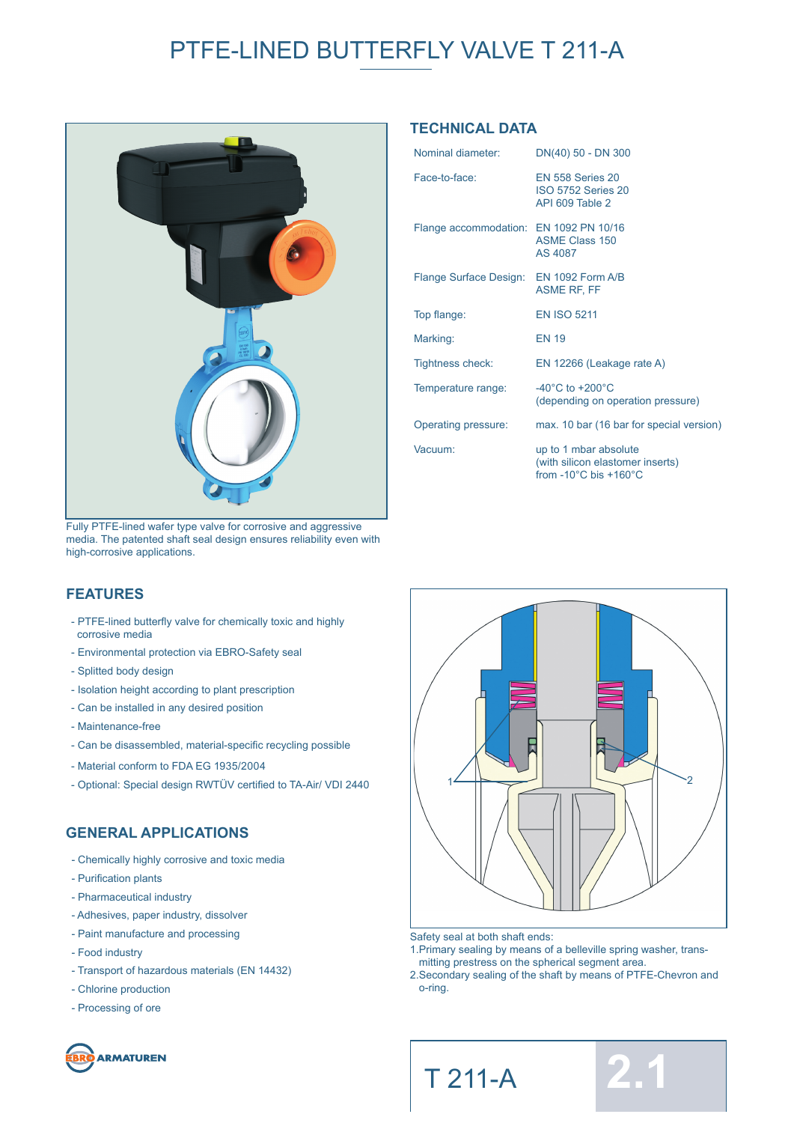# PTFE-LINED BUTTERFLY VALVE T 211-A



Fully PTFE-lined wafer type valve for corrosive and aggressive media. The patented shaft seal design ensures reliability even with high-corrosive applications.

### **TECHNICAL DATA**

| Nominal diameter:                       | DN(40) 50 - DN 300                                                                                       |
|-----------------------------------------|----------------------------------------------------------------------------------------------------------|
| Face-to-face:                           | <b>EN 558 Series 20</b><br><b>ISO 5752 Series 20</b><br>API 609 Table 2                                  |
| Flange accommodation: EN 1092 PN 10/16  | <b>ASME Class 150</b><br>AS 4087                                                                         |
| Flange Surface Design: EN 1092 Form A/B | <b>ASME RF, FF</b>                                                                                       |
| Top flange:                             | <b>EN ISO 5211</b>                                                                                       |
| Marking:                                | <b>EN 19</b>                                                                                             |
| Tightness check:                        | EN 12266 (Leakage rate A)                                                                                |
| Temperature range:                      | $-40^{\circ}$ C to $+200^{\circ}$ C<br>(depending on operation pressure)                                 |
| Operating pressure:                     | max. 10 bar (16 bar for special version)                                                                 |
| Vacuum:                                 | up to 1 mbar absolute<br>(with silicon elastomer inserts)<br>from -10 $^{\circ}$ C bis +160 $^{\circ}$ C |

### **FEATURES**

- PTFE-lined butterfly valve for chemically toxic and highly corrosive media
- Environmental protection via EBRO-Safety seal
- Splitted body design
- Isolation height according to plant prescription
- Can be installed in any desired position
- Maintenance-free
- Can be disassembled, material-specific recycling possible
- Material conform to FDA EG 1935/2004
- Optional: Special design RWTÜV certified to TA-Air/ VDI 2440

### **GENERAL APPLICATIONS**

- Chemically highly corrosive and toxic media
- Purification plants
- Pharmaceutical industry
- Adhesives, paper industry, dissolver
- Paint manufacture and processing
- Food industry
- Transport of hazardous materials (EN 14432)
- Chlorine production
- Processing of ore





- Safety seal at both shaft ends:
- 1.Primary sealing by means of a belleville spring washer, trans mitting prestress on the spherical segment area.
- 2.Secondary sealing of the shaft by means of PTFE-Chevron and o-ring.



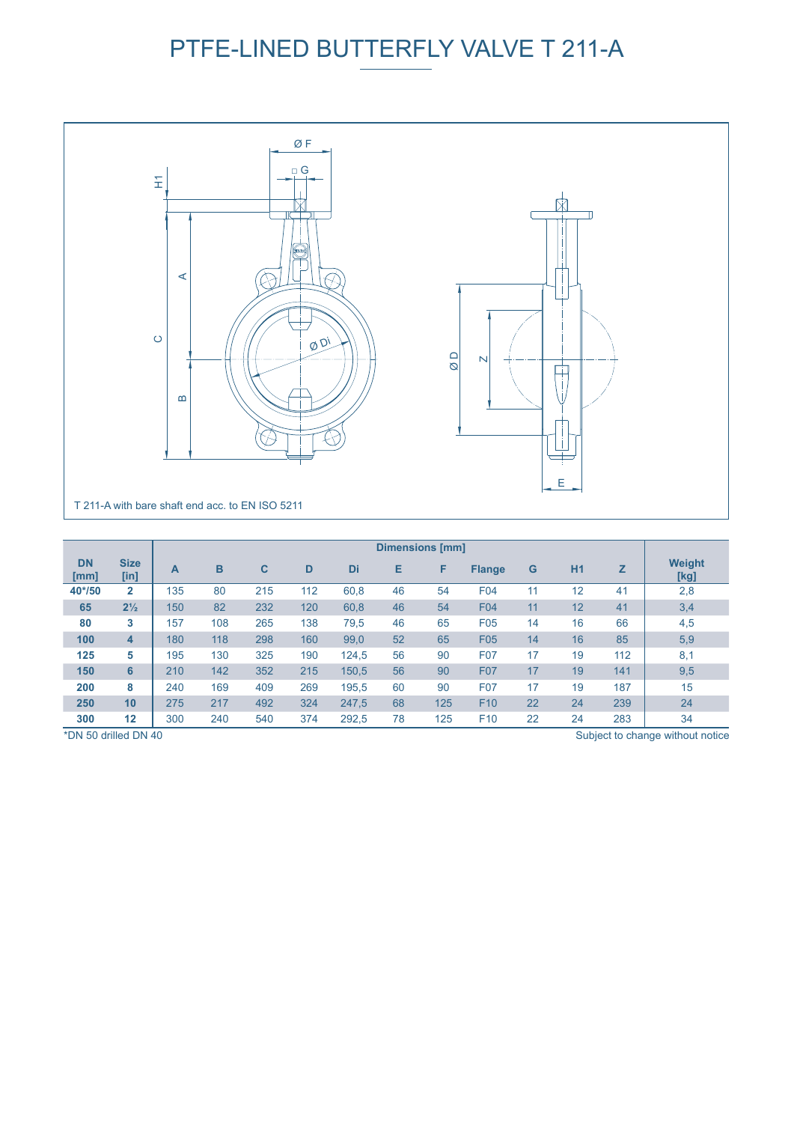# PTFE-LINED BUTTERFLY VALVE T 211-A



|                   |                     | <b>Dimensions [mm]</b> |     |     |     |       |    |     |                 |    |           |     |                       |
|-------------------|---------------------|------------------------|-----|-----|-----|-------|----|-----|-----------------|----|-----------|-----|-----------------------|
| <b>DN</b><br>[mm] | <b>Size</b><br>[in] | A                      | B   | C   | D   | Di    | Е  | F   | <b>Flange</b>   | G  | <b>H1</b> | z   | <b>Weight</b><br>[kg] |
| 40*/50            | $\overline{2}$      | 135                    | 80  | 215 | 112 | 60,8  | 46 | 54  | <b>F04</b>      | 11 | 12        | 41  | 2,8                   |
| 65                | $2\frac{1}{2}$      | 150                    | 82  | 232 | 120 | 60,8  | 46 | 54  | <b>F04</b>      | 11 | 12        | 41  | 3,4                   |
| 80                | 3                   | 157                    | 108 | 265 | 138 | 79,5  | 46 | 65  | F <sub>05</sub> | 14 | 16        | 66  | 4,5                   |
| 100               | $\overline{4}$      | 180                    | 118 | 298 | 160 | 99,0  | 52 | 65  | <b>F05</b>      | 14 | 16        | 85  | 5,9                   |
| 125               | 5                   | 195                    | 130 | 325 | 190 | 124,5 | 56 | 90  | <b>F07</b>      | 17 | 19        | 112 | 8,1                   |
| 150               | 6                   | 210                    | 142 | 352 | 215 | 150,5 | 56 | 90  | <b>F07</b>      | 17 | 19        | 141 | 9,5                   |
| 200               | 8                   | 240                    | 169 | 409 | 269 | 195.5 | 60 | 90  | <b>F07</b>      | 17 | 19        | 187 | 15                    |
| 250               | 10                  | 275                    | 217 | 492 | 324 | 247.5 | 68 | 125 | F <sub>10</sub> | 22 | 24        | 239 | 24                    |
| 300               | 12                  | 300                    | 240 | 540 | 374 | 292,5 | 78 | 125 | F <sub>10</sub> | 22 | 24        | 283 | 34                    |

\*DN 50 drilled DN 40

Subject to change without notice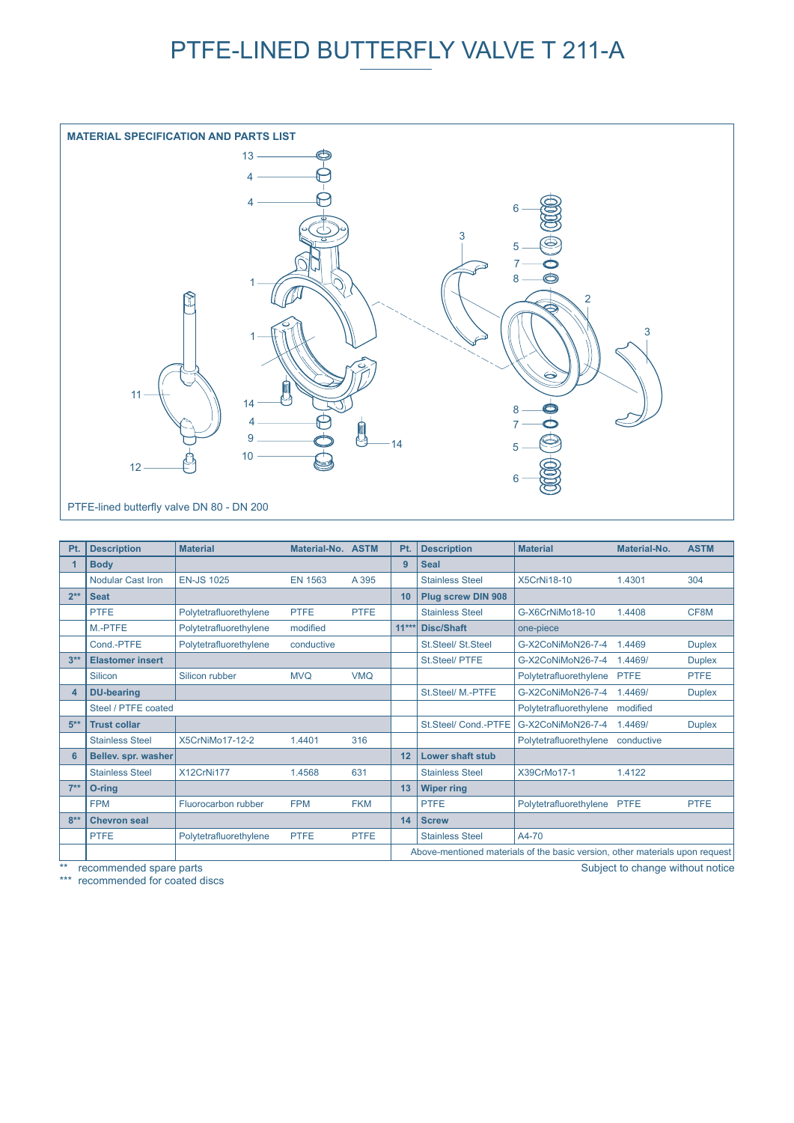## PTFE-LINED BUTTERFLY VALVE T 211-A



| Pt.    | <b>Description</b>       | <b>Material</b>        | Material-No. ASTM |             | Pt. | <b>Description</b>        | <b>Material</b>                                                              | Material-No. | <b>ASTM</b>   |
|--------|--------------------------|------------------------|-------------------|-------------|-----|---------------------------|------------------------------------------------------------------------------|--------------|---------------|
| 1      | <b>Body</b>              |                        |                   |             | 9   | <b>Seal</b>               |                                                                              |              |               |
|        | <b>Nodular Cast Iron</b> | <b>EN-JS 1025</b>      | <b>EN 1563</b>    | A 395       |     | <b>Stainless Steel</b>    | <b>X5CrNi18-10</b>                                                           | 1.4301       | 304           |
| $2**$  | <b>Seat</b>              |                        |                   |             | 10  | <b>Plug screw DIN 908</b> |                                                                              |              |               |
|        | <b>PTFE</b>              | Polytetrafluorethylene | <b>PTFE</b>       | <b>PTFE</b> |     | <b>Stainless Steel</b>    | G-X6CrNiMo18-10                                                              | 1.4408       | CF8M          |
|        | M <sub>-PTFE</sub>       | Polytetrafluorethylene | modified          |             |     | 11*** Disc/Shaft          | one-piece                                                                    |              |               |
|        | Cond.-PTFE               | Polytetrafluorethylene | conductive        |             |     | St.Steel/ St.Steel        | G-X2CoNiMoN26-7-4                                                            | 1.4469       | <b>Duplex</b> |
| $3**$  | <b>Elastomer insert</b>  |                        |                   |             |     | St.Steel/ PTFE            | G-X2CoNiMoN26-7-4                                                            | 1.4469/      | <b>Duplex</b> |
|        | Silicon                  | Silicon rubber         | <b>MVQ</b>        | <b>VMQ</b>  |     |                           | Polytetrafluorethylene                                                       | <b>PTFE</b>  | <b>PTFE</b>   |
| 4      | <b>DU-bearing</b>        |                        |                   |             |     | St.Steel/ M.-PTFE         | G-X2CoNiMoN26-7-4                                                            | 1.4469/      | <b>Duplex</b> |
|        | Steel / PTFE coated      |                        |                   |             |     |                           | Polytetrafluorethylene                                                       | modified     |               |
| $5***$ | <b>Trust collar</b>      |                        |                   |             |     | St.Steel/ Cond.-PTFE      | G-X2CoNiMoN26-7-4                                                            | 1.4469/      | <b>Duplex</b> |
|        | <b>Stainless Steel</b>   | X5CrNiMo17-12-2        | 1.4401            | 316         |     |                           | Polytetrafluorethylene                                                       | conductive   |               |
| 6      | Bellev. spr. washer      |                        |                   |             | 12  | <b>Lower shaft stub</b>   |                                                                              |              |               |
|        | <b>Stainless Steel</b>   | X12CrNi177             | 1.4568            | 631         |     | <b>Stainless Steel</b>    | X39CrMo17-1                                                                  | 1.4122       |               |
| $7**$  | O-ring                   |                        |                   |             | 13  | <b>Wiper ring</b>         |                                                                              |              |               |
|        | <b>FPM</b>               | Fluorocarbon rubber    | <b>FPM</b>        | <b>FKM</b>  |     | <b>PTFE</b>               | Polytetrafluorethylene PTFE                                                  |              | <b>PTFE</b>   |
| $8**$  | <b>Chevron seal</b>      |                        |                   |             | 14  | <b>Screw</b>              |                                                                              |              |               |
|        | <b>PTFE</b>              | Polytetrafluorethylene | <b>PTFE</b>       | <b>PTFE</b> |     | <b>Stainless Steel</b>    | A4-70                                                                        |              |               |
|        |                          |                        |                   |             |     |                           | Above-mentioned materials of the basic version, other materials upon request |              |               |

recommended spare parts

\*\*\* recommended for coated discs

Subject to change without notice